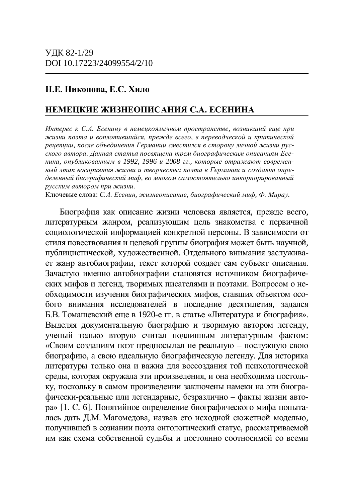# $H.E. HHKонова, E.C. Xn,$

# НЕМЕЦКИЕ ЖИЗНЕОПИСАНИЯ С.А. ЕСЕНИНА

Интерес к С.А. Есенину в немецкоязычном пространстве, возникший еще при  $x$ сизни поэта и воплотившийся, прежде всего, в переводческой и критической реиепиии, после объединения Германии сместился в сторону личной жизни русского автора. Данная статья посвяшена трем биографическим описаниям Есе- $H$ ина, опубликованным в 1992, 1996 и 2008 гг., которые отражают современный этап восприятия жизни и творчества поэта в Германии и создают определенный биографический миф, во многом самостоятельно инкорпорированный *pусским автором при жизни.* 

Ключевые слова: С.А. Есенин, жизнеописание, биографический миф, Ф. Мирау.

Биография как описание жизни человека является, прежде всего, литературным жанром, реализующим цель знакомства с первичной социологической информацией конкретной персоны. В зависимости от стиля повествования и целевой группы биография может быть научной, публицистической, художественной. Отдельного внимания заслуживает жанр автобиографии, текст которой создает сам субъект описания. Зачастую именно автобиографии становятся источником биографических мифов и легенд, творимых писателями и поэтами. Вопросом о необходимости изучения биографических мифов, ставших объектом особого внимания исследователей в последние десятилетия, задался Б.В. Томашевский еще в 1920-е гг. в статье «Литература и биография». Выделяя документальную биографию и творимую автором легенду, ученый только вторую считал подлинным литературным фактом: «Своим созданиям поэт предпосылал не реальную – послужную свою биографию, а свою идеальную биографическую легенду. Для историка литературы только она и важна для воссоздания той психологической среды, которая окружала эти произведения, и она необходима постольку, поскольку в самом произведении заключены намеки на эти биографически-реальные или легендарные, безразлично – факты жизни автора» [1. С. 6]. Понятийное определение биографического мифа попыталась дать Д.М. Магомедова, назвав его исходной сюжетной моделью, получившей в сознании поэта онтологический статус, рассматриваемой им как схема собственной судьбы и постоянно соотносимой со всеми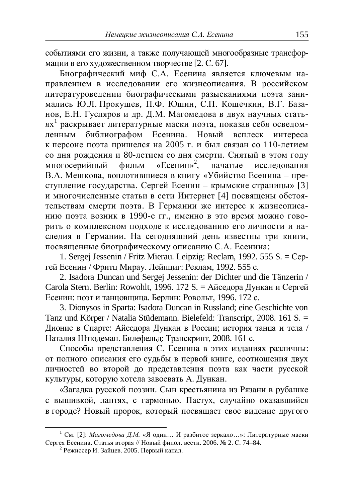событиями его жизни, а также получающей многообразные трансформации в его художественном творчестве [2. С. 67].

Биографический миф С.А. Есенина является ключевым направлением в исследовании его жизнеописания. В российском титературоведении биографическими разысканиями поэта занимались Ю.Л. Прокушев, П.Ф. Юшин, С.П. Кошечкин, В.Г. Базанов, Е.Н. Гусляров и др. Д.М. Магомедова в двух научных статьях<sup>1</sup> раскрывает литературные маски поэта, показав себя осведомленным библиографом Есенина. Новый всплеск интереса к персоне поэта пришелся на 2005 г. и был связан со 110-летием со дня рождения и 80-летием со дня смерти. Снятый в этом году многосерийный фильм «Есенин»<sup>2</sup>, начатые исследования В.А. Мешкова, воплотившиеся в книгу «Убийство Есенина – преступление государства. Сергей Есенин – крымские страницы» [3] и многочисленные статьи в сети Интернет [4] посвящены обстоятельствам смерти поэта. В Германии же интерес к жизнеописанию поэта возник в 1990-е гг., именно в это время можно говорить о комплексном полхоле к исслелованию его личности и на-•<br>следия в Германии. На сегодняшний день известны три книги. посвяшенные биографическому описанию С.А. Есенина:

1. Sergej Jessenin / Fritz Mierau. Leipzig: Reclam, 1992. 555 S. = Cepгей Есенин / Фритц Мирау. Лейпциг: Реклам, 1992. 555 с.

2. Isadora Duncan und Sergej Jessenin: der Dichter und die Tänzerin / Carola Stern. Berlin: Rowohlt, 1996. 172 S. = Айседора Дункан и Сергей Есенин: поэт и танцовщица. Берлин: Ровольт, 1996. 172 с.

3. Dionysos in Sparta: Isadora Duncan in Russland; eine Geschichte von Tanz und Körper / Natalia Stüdemann. Bielefeld: Transcript, 2008. 161 S. = Дионис в Спарте: Айседора Дункан в России; история танца и тела / Наталия Штюдеман. Билефельд: Транскрипт, 2008. 161 с.

Способы представления С. Есенина в этих изданиях различны: от полного описания его судьбы в первой книге, соотношения двух личностей во второй до представления поэта как части русской культуры, которую хотела завоевать А. Дункан.

«Загадка русской поэзии. Сын крестьянина из Рязани в рубашке с вышивкой, лаптях, с гармонью. Пастух, случайно оказавшийся в городе? Новый пророк, который посвящает свое видение другого

<sup>&</sup>lt;sup>1</sup> См. [2]: *Магомедова Д.М.* «Я один... И разбитое зеркало...»: Литературные маски Сергея Есенина. Статья вторая // Новый филол. вестн. 2006. № 2. С. 74–84.

 $^{2}$  Режиссер И. Зайцев. 2005. Первый канал.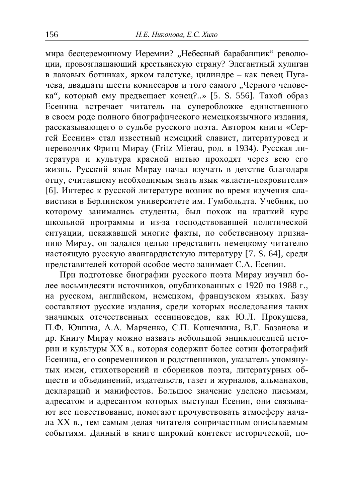мира бесцеремонному Иеремии? "Небесный барабанщик" революции, провозглашающий крестьянскую страну? Элегантный хулиган в лаковых ботинках, ярком галстуке, иилиндре – как певец Пугачева, двадцати шести комиссаров и того самого "Черного человека", который ему предвещает конец?..» [5. S. 556]. Такой образ Бсенина встречает читатель на суперобложке единственного в своем роде полного биографического немецкоязычного издания, рассказывающего о судьбе русского поэта. Автором книги «Сергей Есенин» стал известный немецкий славист, литературовед и переводчик Фритц Мирау (Fritz Mierau, род. в 1934). Русская литература и культура красной нитью проходят через всю его жизнь. Русский язык Мирау начал изучать в детстве благодаря отцу, считавшему необходимым знать язык «власти-покровителя» [6]. Интерес к русской литературе возник во время изучения славистики в Берлинском университете им. Гумбольдта. Учебник, по которому занимались студенты, был похож на краткий курс школьной программы и из-за господствовавшей политической ситуации, искажавшей многие факты, по собственному признанию Мирау, он задался целью представить немецкому читателю настоящую русскую авангардистскую литературу [7. S. 64], среди представителей которой особое место занимает С.А. Есенин.

При полготовке биографии русского поэта Мирау изучил более восьмидесяти источников, опубликованных с 1920 по 1988 г., на русском, английском, немецком, французском языках. Базу составляют русские издания, среди которых исследования таких значимых отечественных есениноведов, как Ю.Л. Прокушева, П.Ф. Юшина, А.А. Марченко, С.П. Кошечкина, В.Г. Базанова и др. Книгу Мирау можно назвать небольшой энциклопедией истории и культуры XX в., которая содержит более сотни фотографий Тесенина, его современников и родственников, указатель упомянутых имен, стихотворений и сборников поэта, литературных обществ и объединений, издательств, газет и журналов, альманахов, деклараций и манифестов. Большое значение уделено письмам, адресатом и адресантом которых выступал Есенин, они связывают все повествование, помогают прочувствовать атмосферу начала XX в., тем самым делая читателя сопричастным описываемым событиям. Данный в книге широкий контекст исторической, по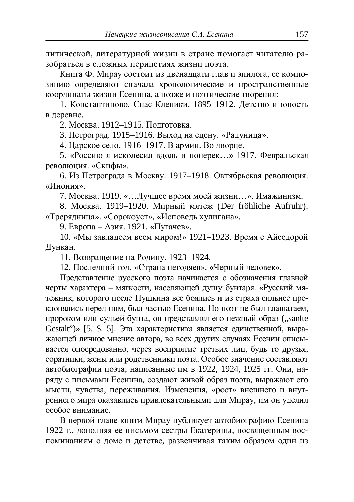литической, литературной жизни в стране помогает читателю разобраться в сложных перипетиях жизни поэта.

.<br>Книга Ф. Мирау состоит из двенадцати глав и эпилога, ее композицию определяют сначала хронологические и пространственные координаты жизни Есенина, а позже и поэтические творения:

1. Константиново. Спас-Клепики. 1895–1912. Детство и юность в деревне.

2. Москва. 1912–1915. Подготовка.

3. Петроград. 1915–1916. Выход на сцену. «Радуница».

4. Царское село. 1916–1917. В армии. Во дворце.

5. «Россию я исколесил влоль и поперек...» 1917. Февральская революция. «Скифы».

6. Из Петрограла в Москву. 1917–1918. Октябрьская революция. «Инония».

7. Москва. 1919. «…Лучшее время моей жизни...». Имажинизм.

8. Москва. 1919–1920. Мирный мятеж (Der fröhliche Aufruhr). «Трерядница». «Сорокоуст», «Исповедь хулигана».

 $9.$  Европа – Азия. 1921. «Пугачев».

10. «Мы завладеем всем миром!» 1921–1923. Время с Айседорой Дункан.

11. Возврашение на Родину. 1923–1924.

12. Послелний год. «Страна негодяев», «Черный человек».

Представление русского поэта начинается с обозначения главной черты характера – мягкости, населяющей душу бунтаря. «Русский мятежник, которого после Пушкина все боялись и из страха сильнее преклонялись перед ним, был частью Есенина. Но поэт не был глашатаем, пророком или судьей бунта, он представлял его нежный образ ("sanfte Gestalt")» [5. S. 5]. Эта характеристика является единственной, выражающей личное мнение автора, во всех других случаях Есенин описывается опосредованно, через восприятие третьих лиц, будь то друзья, соратники, жены или родственники поэта. Особое значение составляют автобиографии поэта, написанные им в 1922, 1924, 1925 гг. Они, наряду с письмами Есенина, создают живой образ поэта, выражают его ɦɵɫɥɢ, ɱɭɜɫɬɜɚ, ɩɟɪɟɠɢɜɚɧɢɹ. ɂɡɦɟɧɟɧɢɹ, «ɪɨɫɬ» ɜɧɟɲɧɟɝɨ ɢ ɜɧɭɬреннего мира оказавлись привлекательными для Мирау, им он уделил особое внимание.

В первой главе книги Мирау публикует автобиографию Есенина 1922 г., дополняя ее письмом сестры Екатерины, посвященным воспоминаниям о ломе и летстве, развенчивая таким образом олин из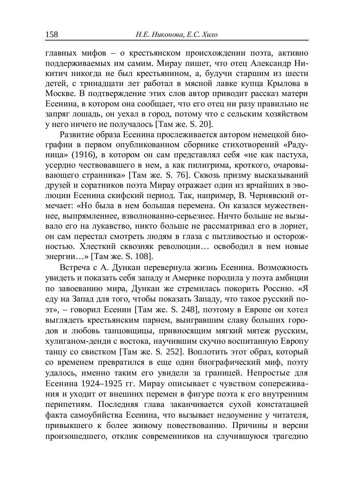главных мифов – о крестьянском происхождении поэта, активно поддерживаемых им самим. Мирау пишет, что отец Александр Никитич никогла не был крестьянином, а, булучи старшим из шести детей, с триналиати лет работал в мясной лавке купиа Крылова в Москве. В подтверждение этих слов автор приводит рассказ матери Есенина, в котором она сообщает, что его отец ни разу правильно не запряг лошадь, он уехал в город, потому что с сельским хозяйством у него ничего не получалось [Там же. S. 20].

Развитие образа Есенина прослеживается автором немецкой биографии в первом опубликованном сборнике стихотворений «Раду-НИЦа» (1916), в котором он сам представлял себя «не как пастуха, усердно чествовавшего в нем, а как пилигрима, кроткого, очаровы**вающего странника» [Там же. S. 76]. Сквозь призму высказываний** друзей и соратников поэта Мирау отражает один из ярчайших в эволюции Есенина скифский период. Так, например, В. Чернявский отмечает: «Но была в нем большая перемена. Он казался мужественнее, выпрямленнее, взволнованно-серьезнее. Ничто больше не вызывало его на лукавство, никто больше не рассматривал его в лорнет, он сам перестал смотреть людям в глаза с пытливостью и осторожностью. Хлесткий сквозняк революции... освободил в нем новые энергии...» [Там же. S. 108].

Встреча с А. Лункан перевернула жизнь Есенина. Возможность увидеть и показать себя западу и Америке породила у поэта амбиции но завоеванию мира, Дункан же стремилась покорить Россию. «Я еду на Запад для того, чтобы показать Западу, что такое русский поэт», – говорил Есенин [Там же. S. 248], поэтому в Европе он хотел выглядеть крестьянским парнем, выигравшим славу больших городов и любовь танцовщицы, привносящим мягкий мятеж русским, хулиганом-денди с востока, научившим скучно воспитанную Европу танцу со свистком [Там же. S. 252]. Воплотить этот образ, который со временем превратился в еще один биографический миф, поэту удалось, именно таким его увидели за границей. Непростые для Есенина 1924–1925 гг. Мирау описывает с чувством сопереживания и уходит от внешних перемен в фигуре поэта к его внутренним перипетиям. Последняя глава заканчивается сухой констатацией факта самоубийства Есенина, что вызывает недоумение у читателя, привыкшего к более живому повествованию. Причины и версии произошедшего, отклик современников на случившуюся трагедию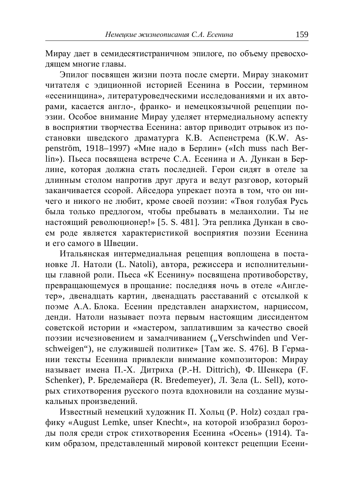Мирау дает в семидесятистраничном эпилоге, по объему превосходящем многие главы.

Эпилог посвяшен жизни поэта после смерти. Мирау знакомит читателя с эдиционной историей Есенина в России, термином «есенинщина», литературоведческими исследованиями и их авторами, касается англо-, франко- и немецкоязычной рецепции поэзии. Особое внимание Мирау уделяет нтермедиальному аспекту в восприятии творчества Есенина: автор приводит отрывок из постановки шведского драматурга К.В. Аспенстрема (K.W. Aspenström, 1918–1997) «Мне надо в Берлин» («Ich muss nach Berlin»). Пьеса посвящена встрече С.А. Есенина и А. Дункан в Берлине, которая должна стать последней. Герои сидят в отеле за длинным столом напротив друг друга и ведут разговор, который заканчивается ссорой. Айседора упрекает поэта в том, что он ничего и никого не любит, кроме своей поэзии: «Твоя голубая Русь была только предлогом, чтобы пребывать в меланхолии. Ты не настоящий революционер!» [5. S. 481]. Эта реплика Дункан в своем роде является характеристикой восприятия поэзии Есенина и его самого в Швении.

Итальянская интермедиальная рецепция воплощена в постановке Л. Натоли (L. Natoli), автора, режиссера и исполнительницы главной роли. Пьеса «К Есенину» посвящена противоборству. превращающемуся в прощание: последняя ночь в отеле «Англетер», двенадцать картин, двенадцать расставаний с отсылкой к поэме А.А. Блока. Есенин представлен анархистом, нарциссом, денди. Натоли называет поэта первым настоящим диссидентом советской истории и «мастером, заплатившим за качество своей поэзии исчезновением и замалчиванием ("Verschwinden und Verschweigen"), не служившей политике» [Там же. S. 476]. В Германии тексты Есенина привлекли внимание композиторов: Мирау называет имена П.-Х. Литриха (P.-Н. Dittrich), Ф. Шенкера (F. Schenker), Р. Бредемайера (R. Bredemeyer), Л. Зела (L. Sell), которых стихотворения русского поэта вдохновили на создание музыкальных произвелений.

Известный немецкий художник П. Хольц (P. Holz) создал графику «August Lemke, unser Knecht», на которой изобразил борозды поля среди строк стихотворения Есенина «Осень» (1914). Таким образом, представленный мировой контекст рецепции Есени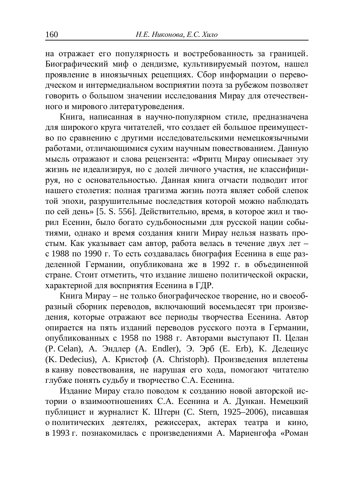на отражает его популярность и востребованность за границей. Биографический миф о дендизме, культивируемый поэтом, нашел проявление в иноязычных рецепциях. Сбор информации о переводческом и интермедиальном восприятии поэта за рубежом позволяет говорить о большом значении исследования Мирау для отечественного и мирового литературоведения.

Книга, написанная в научно-популярном стиле, предназначена для широкого круга читателей, что создает ей большое преимущество по сравнению с другими исследовательскими немецкоязычными работами, отличающимися сухим научным повествованием. Данную мысль отражают и слова рецензента: «Фритц Мирау описывает эту жизнь не идеализируя, но с долей личного участия, не классифицируя, но с основательностью. Данная книга отчасти подводит итог нашего столетия: полная трагизма жизнь поэта являет собой слепок той эпохи, разрушительные последствия которой можно наблюдать по сей день» [5. S. 556]. Действительно, время, в которое жил и творил Есенин, было богато судьбоносными для русской нации событиями, однако и время создания книги Мирау нельзя назвать простым. Как указывает сам автор, работа велась в течение двух лет с 1988 по 1990 г. То есть создавалась биография Есенина в еще разделенной Германии, опубликована же в 1992 г. в объединенной стране. Стоит отметить, что излание лишено политической окраски, характерной для восприятия Есенина в ГДР.

Книга Мирау – не только биографическое творение, но и своеобразный сборник переводов, включающий восемьдесят три произведения, которые отражают все периоды творчества Есенина. Автор опирается на пять изданий переводов русского поэта в Германии, опубликованных с 1958 по 1988 г. Авторами выступают П. Целан (P. Celan), А. Эндлер (A. Endler), Э. Эрб (E. Erb), К. Дедециус (K. Dedecius), А. Кристоф (A. Christoph). Произведения вплетены в канву повествования, не нарушая его хода, помогают читателю глубже понять судьбу и творчество С.А. Есенина.

Издание Мирау стало поводом к созданию новой авторской истории о взаимоотношениях С.А. Есенина и А. Дункан. Немецкий публицист и журналист К. Штерн (С. Stern, 1925–2006), писавшая • политических деятелях, режиссерах, актерах театра и кино, в 1993 г. познакомилась с произведениями А. Мариенгофа «Роман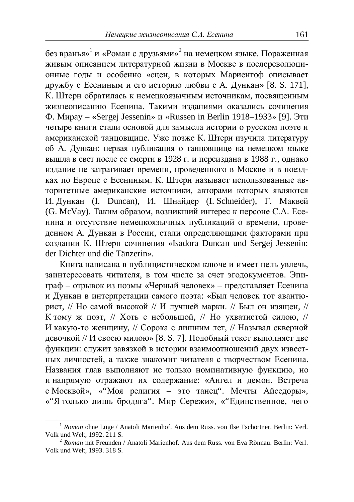без вранья»<sup>1</sup> и «Роман с друзьями»<sup>2</sup> на немецком языке. Пораженная живым описанием литературной жизни в Москве в послереволюционные годы и особенно «сцен, в которых Мариенгоф описывает дружбу с Есениным и его историю любви с А. Дункан» [8. S. 171], К. Штерн обратилась к немецкоязычным источникам, посвященным жизнеописанию Есенина. Такими изданиями оказались сочинения  $\Phi$ . Mupay – «Sergej Jessenin»  $\mu$  «Russen in Berlin 1918–1933» [9]. Эти четыре книги стали основой для замысла истории о русском поэте и американской танцовщице. Уже позже К. Штерн изучила литературу об А. Дункан: первая публикация о танцовщице на немецком языке вышла в свет после ее смерти в 1928 г. и переиздана в 1988 г., однако издание не затрагивает времени, проведенного в Москве и в поездках по Европе с Есениным. К. Штерн называет использованные авторитетные американские источники, авторами которых являются И. Лункан (I. Duncan), И. Шнайлер (I. Schneider), Г. Маквей (G. McVay). Таким образом, возникший интерес к персоне С.А. Есенина и отсутствие немецкоязычных публикаций о времени, проведенном А. Дункан в России, стали определяющими факторами при созлании К. Штерн сочинения «Isadora Duncan und Sergej Jessenin: der Dichter und die Tänzerin».

Книга написана в публицистическом ключе и имеет цель увлечь, заинтересовать читателя, в том числе за счет эголокументов. Эпиграф – отрывок из поэмы «Черный человек» – представляет Есенина и Дункан в интерпретации самого поэта: «Был человек тот авантюрист, // Но самой высокой // И лучшей марки. // Был он изящен, // К тому ж поэт, // Хоть с небольшой, // Но ухватистой силою, // И какую-то женщину, // Сорока с лишним лет, // Называл скверной девочкой // И своею милою» [8. S. 7]. Подобный текст выполняет две функции: служит завязкой в истории взаимоотношений двух известных личностей, а также знакомит читателя с творчеством Есенина. Названия глав выполняют не только номинативную функцию, но и напрямую отражают их содержание: «Ангел и демон. Встреча с Москвой», «"Моя религия – это танец". Мечты Айседоры», «"Я только лишь бродяга". Мир Сережи», «"Единственное, чего

<sup>&</sup>lt;sup>1</sup> Roman ohne Lüge / Anatoli Marienhof. Aus dem Russ. von Ilse Tschörtner. Berlin: Verl. Volk und Welt, 1992. 211 S.

<sup>2</sup> *Roman* mit Freunden / Anatoli Marienhof. Aus dem Russ. von Eva Rönnau. Berlin: Verl. Volk und Welt, 1993. 318 S.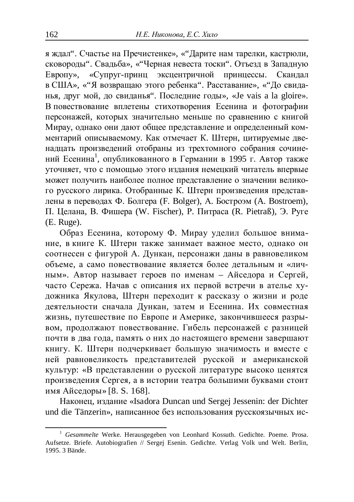я ждал". Счастье на Пречистенке», «"Дарите нам тарелки, кастрюли, сковороды". Свадьба», «"Черная невеста тоски". Отъезд в Западную Европу», «Супруг-принц экспентричной принцессы. Скандал в США», «"Я возвращаю этого ребенка". Расставание», «"До свиданья, друг мой, до свиданья". Последние годы», «Je vais a la gloire». В повествование вплетены стихотворения Есенина и фотографии персонажей, которых значительно меньше по сравнению с книгой Мирау, однако они дают общее представление и определенный комментарий описываемому. Как отмечает К. Штерн, цитируемые двенадцать произведений отобраны из трехтомного собрания сочинений Есенина<sup>1</sup>, опубликованного в Германии в 1995 г. Автор также VTOЧНЯЕТ, ЧТО С ПОМОЩЬЮ ЭТОГО ИЗДАНИЯ НЕМЕЦКИЙ ЧИТАТЕЛЬ ВПЕРВЫЕ может получить наиболее полное представление о значении великого русского лирика. Отобранные К. Штерн произведения представлены в переводах Ф. Болгера (F. Bolger), А. Бостроэм (A. Bostroem), П. Целана, В. Фишера (W. Fischer), Р. Питраса (R. Pietraß), Э. Руге (E. Ruge).

Образ Есенина, которому Ф. Мирау уделил большое внимание, в книге К. Штерн также занимает важное место, однако он соотнесен с фигурой А. Дункан, персонажи даны в равновеликом объеме, а само повествование является более детальным и «личным». Автор называет героев по именам – Айселора и Сергей. часто Сережа. Начав с описания их первой встречи в ателье художника Якулова, Штерн переходит к рассказу о жизни и роде деятельности сначала Дункан, затем и Есенина. Их совместная жизнь, путешествие по Европе и Америке, закончившееся разрывом, продолжают повествование. Гибель персонажей с разницей почти в два года, память о них до настоящего времени завершают книгу. К. Штерн подчеркивает большую значимость и вместе с ней равновеликость представителей русской и американской культур: «В представлении о русской литературе высоко ценятся произведения Сергея, а в истории театра большими буквами стоит имя Айседоры» [8. S. 168].

Наконец, излание «Isadora Duncan und Sergei Jessenin: der Dichter und die Tänzerin», написанное без использования русскоязычных ис-

<sup>&</sup>lt;sup>1</sup> *Gesammelte* Werke. Herausgegeben von Leonhard Kossuth. Gedichte. Poeme. Prosa. Aufsetze. Briefe. Autobiografien // Sergej Esenin. Gedichte. Verlag Volk und Welt. Berlin, 1995. 3 Bände.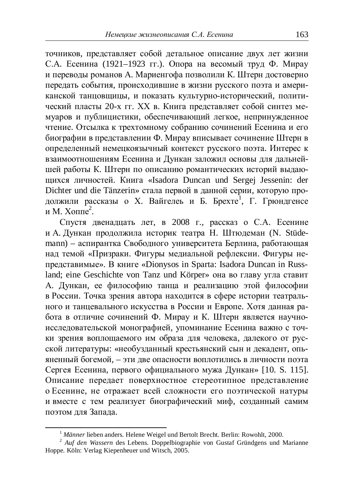точников, представляет собой детальное описание двух лет жизни С.А. Есенина (1921–1923 гг.). Опора на весомый труд Ф. Мирау и переводы романов А. Мариенгофа позволили К. Штерн достоверно передать события, происходившие в жизни русского поэта и американской танцовщицы, и показать культурно-исторический, политический пласты 20-х гг. XX в. Книга представляет собой синтез мемуаров и публицистики, обеспечивающий легкое, непринужденное чтение. Отсылка к трехтомному собранию сочинений Есенина и его биографии в представлении Ф. Мирау вписывает сочинение Штерн в определенный немецкоязычный контекст русского поэта. Интерес к взаимоотношениям Есенина и Дункан заложил основы для дальнейшей работы К. Штерн по описанию романтических историй выдающихся личностей. Книга «Isadora Duncan und Sergej Jessenin: der Dichter und die Tänzerin» стала первой в данной серии, которую продолжили рассказы о Х. Вайгелеь и Б. Брехте<sup>1</sup>, Г. Грюндгенсе и М. Хоппе<sup>2</sup>.

Спустя двенадцать лет, в 2008 г., рассказ о С.А. Есенине и А. Дункан продолжила историк театра Н. Штюдеман (N. Stüdemann) – аспирантка Свободного университета Берлина, работающая над темой «Призраки. Фигуры медиальной рефлексии. Фигуры непредставимые». В книге «Dionysos in Sparta: Isadora Duncan in Russland; eine Geschichte von Tanz und Körper» она во главу угла ставит А. Дункан, ее философию танца и реализацию этой философии в России. Точка зрения автора находится в сфере истории театрального и танцевального искусства в России и Европе. Хотя данная работа в отличие сочинений Ф. Мирау и К. Штерн является научноисследовательской монографией, упоминание Есенина важно с точки зрения воплощаемого им образа для человека, далекого от русской литературы: «необузданный крестьянский сын и декадент, опьяненный богемой, – эти две опасности воплотились в личности поэта Сергея Есенина, первого официального мужа Лункан» [10. S. 115]. Описание передает поверхностное стереотипное представление о Есенине, не отражает всей сложности его поэтической натуры и вместе с тем реализует биографический миф, созданный самим поэтом для Запада.

<sup>&</sup>lt;sup>1</sup> *Männer* lieben anders. Helene Weigel und Bertolt Brecht. Berlin: Rowohlt, 2000.

<sup>&</sup>lt;sup>2</sup> Auf den Wassern des Lebens. Doppelbiographie von Gustaf Gründgens und Marianne Hoppe. Köln: Verlag Kiepenheuer und Witsch, 2005.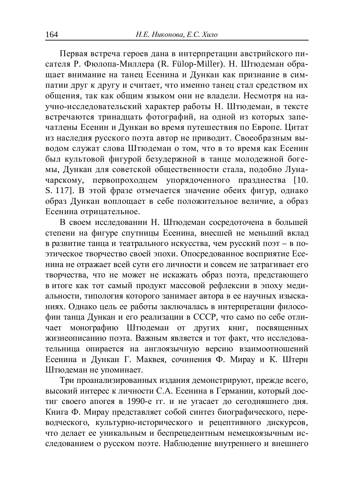Первая встреча героев дана в интерпретации австрийского писателя Р. Фюлопа-Миллера (R. Fülop-Miller). Н. Штюдеман обрашает внимание на танец Есенина и Дункан как признание в симпатии друг к другу и считает, что именно танец стал средством их общения, так как общим языком они не владели. Несмотря на научно-исследовательский характер работы Н. Штюдеман, в тексте встречаются тринадцать фотографий, на одной из которых запечатлены Есенин и Дункан во время путешествия по Европе. Цитат из наследия русского поэта автор не приводит. Своеобразным выводом служат слова Штюдеман о том, что в то время как Есенин был культовой фигурой безудержной в танце молодежной богемы, Дункан для советской общественности стала, подобно Луначарскому, первопроходцем упорядоченного празднества [10. S. 117]. В этой фразе отмечается значение обеих фигур, однако образ Дункан воплощает в себе положительное величие, а образ Есенина отрицательное.

В своем исследовании Н. Штюдеман сосредоточена в большей степени на фигуре спутницы Есенина, внесшей не меньший вклад в развитие танца и театрального искусства, чем русский поэт - в поɷɬɢɱɟɫɤɨɟɬɜɨɪɱɟɫɬɜɨɫɜɨɟɣɷɩɨɯɢ. Ɉɩɨɫɪɟɞɨɜɚɧɧɨɟɜɨɫɩɪɢɹɬɢɟȿɫɟнина не отражает всей сути его личности и совсем не затрагивает его творчества, что не может не искажать образ поэта, предстающего в итоге как тот самый продукт массовой рефлексии в эпоху медиальности, типология которого занимает автора в ее научных изысканиях. Однако цель ее работы заключалась в интерпретации философии танца Дункан и его реализации в СССР, что само по себе отлиает монографию Штюдеман от других книг, посвященных жизнеописанию поэта. Важным является и тот факт, что исследовательница опирается на англоязычную версию взаимоотношений Есенина и Дункан Г. Маквея, сочинения Ф. Мирау и К. Штерн Штюлеман не упоминает.

Три проанализированных издания демонстрируют, прежде всего, высокий интерес к личности С.А. Есенина в Германии, который достиг своего апогея в 1990-е гг. и не угасает до сегодняшнего дня. Книга Ф. Мирау представляет собой синтез биографического, переводческого, культурно-исторического и рецептивного дискурсов, что делает ее уникальным и беспрецедентным немецкоязычным исследованием о русском поэте. Наблюдение внутреннего и внешнего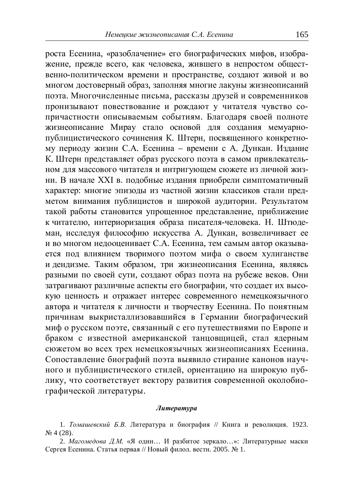роста Есенина, «разоблачение» его биографических мифов, изображение, прежде всего, как человека, жившего в непростом общественно-политическом времени и пространстве, создают живой и во многом достоверный образ, заполняя многие лакуны жизнеописаний поэта. Многочисленные письма, рассказы друзей и современников пронизывают повествование и рождают у читателя чувство сопричастности описываемым событиям. Благодаря своей полноте жизнеописание Мирау стало основой для создания мемуарнопублицистического сочинения К. Штерн, посвященного конкретному периоду жизни С.А. Есенина – времени с А. Дункан. Издание К. Штерн представляет образ русского поэта в самом привлекательном для массового читателя и интригующем сюжете из личной жизни. В начале XXI в. подобные издания приобрели симптоматичный характер: многие эпизоды из частной жизни классиков стали предметом внимания публицистов и широкой аудитории. Результатом такой работы становится упрощенное представление, приближение к читателю, интериоризация образа писателя-человека. Н. Штюдеман, исследуя философию искусства А. Дункан, возвеличивает ее и во многом недооценивает С.А. Есенина, тем самым автор оказывается под влиянием творимого поэтом мифа о своем хулиганстве и дендизме. Таким образом, три жизнеописания Есенина, являясь разными по своей сути, создают образ поэта на рубеже веков. Они затрагивают различные аспекты его биографии, что создает их высокую ценность и отражает интерес современного немецкоязычного автора и читателя к личности и творчеству Есенина. По понятным причинам выкристаллизовавшийся в Германии биографический миф о русском поэте, связанный с его путешествиями по Европе и браком с известной американской танцовщицей, стал ядерным сюжетом во всех трех немецкоязычных жизнеописаниях Есенина. Сопоставление биографий поэта выявило стирание канонов научного и публицистического стилей, ориентацию на широкую публику, что соответствует вектору развития современной околобиографической литературы.

#### $Ju$ *mepamypa*

1. *Томашевский Б.В.* Литература и биография // Книга и революция. 1923. ʋ 4 (28).

2. *Магомедова Д.М.* «Я один... И разбитое зеркало...»: Литературные маски Сергея Есенина. Статья первая // Новый филол. вестн. 2005. № 1.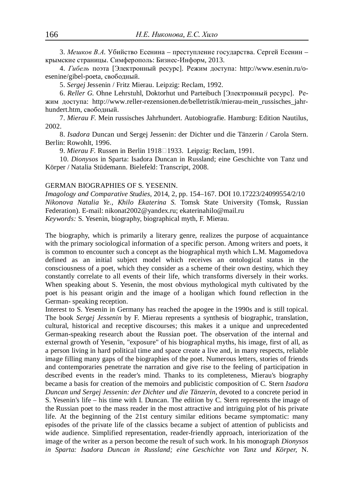3. Мешков В.А. Убийство Есенина – преступление государства. Сергей Есенин – крымские страницы. Симферополь: Бизнес-Информ, 2013.

4. Гибель поэта [Электронный ресурс]. Режим доступа: [http://www.esenin.ru/o](http://www.esenin.ru/o-)esenine/gibel-poeta, свободный.

5. *Sergej* Jessenin / Fritz Mierau. Leipzig: Reclam, 1992.

6. Reller G. Ohne Lehrstuhl, Doktorhut und Parteibuch [Электронный ресурс]. Режим доступа: [http://www.reller-rezensionen.de/belletristik/mierau-mein\\_russisches\\_jahr](http://www.reller-rezensionen.de/belletristik/mierau-mein_russisches_jahr-)hundert.htm, своболный.

7. *Mierau F.* Mein russisches Jahrhundert. Autobiografie. Hamburg: Edition Nautilus, 2002.

8. *Isadora* Duncan und Sergej Jessenin: der Dichter und die Tänzerin / Carola Stern. Berlin: Rowohlt, 1996.

9. *Mierau F.* Russen in Berlin 1918<sup>[19]</sup> 1933. Leipzig: Reclam, 1991.

10. *Dionysos* in Sparta: Isadora Duncan in Russland; eine Geschichte von Tanz und Körper / Natalia Stüdemann. Bielefeld: Transcript, 2008.

### GERMAN BIOGRAPHIES OF S. YESENIN.

*Imagology and Comparative Studies*, 2014, 2, pp. 154–167. DOI 10.17223/24099554/2/10 *Nikonova Natalia Ye., Khilo Ekaterina S.* Tomsk State University (Tomsk, Russian Federation). E-mail: [nikonat2002@yandex.ru;](mailto:nikonat2002:@yandex.ru) [ekaterinahilo@mail.ru](mailto:ekaterinahilo:@mail.ru) *Keywords:* S. Yesenin, biography, biographical myth, F. Mierau.

The biography, which is primarily a literary genre, realizes the purpose of acquaintance with the primary sociological information of a specific person. Among writers and poets, it is common to encounter such a concept as the biographical myth which L.M. Magomedova defined as an initial subject model which receives an ontological status in the consciousness of a poet, which they consider as a scheme of their own destiny, which they constantly correlate to all events of their life, which transforms diversely in their works. When speaking about S. Yesenin, the most obvious mythological myth cultivated by the poet is his peasant origin and the image of a hooligan which found reflection in the German- speaking reception.

Interest to S. Yesenin in Germany has reached the apogee in the 1990s and is still topical. The book *Sergej Jessenin* by F. Mierau represents a synthesis of biographic, translation, cultural, historical and receptive discourses; this makes it a unique and unprecedented German-speaking research about the Russian poet. The observation of the internal and external growth of Yesenin, "exposure" of his biographical myths, his image, first of all, as a person living in hard political time and space create a live and, in many respects, reliable image filling many gaps of the biographies of the poet. Numerous letters, stories of friends and contemporaries penetrate the narration and give rise to the feeling of participation in described events in the reader's mind. Thanks to its completeness, Mierau's biography became a basis for creation of the memoirs and publicistic composition of C. Stern *Isadora Duncan und Sergej Jessenin: der Dichter und die Tänzerin*, devoted to a concrete period in S. Yesenin's life – his time with I. Duncan. The edition by C. Stern represents the image of the Russian poet to the mass reader in the most attractive and intriguing plot of his private life. At the beginning of the 21st century similar editions became symptomatic: many episodes of the private life of the classics became a subject of attention of publicists and wide audience. Simplified representation, reader-friendly approach, interiorization of the image of the writer as a person become the result of such work. In his monograph *Dionysos in Sparta: Isadora Duncan in Russland; eine Geschichte von Tanz und Körper,* N.